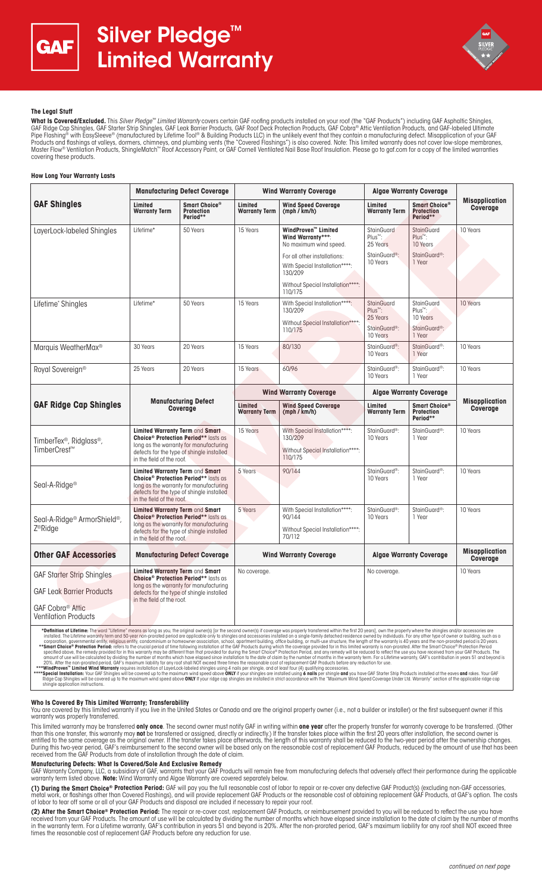



## **The Legal Stuff**

**What Is Covered/Excluded.** This *Silver Pledge™ Limited Warranty* covers certain GAF roofing products installed on your roof (the "GAF Products") including GAF Asphaltic Shingles,<br>GAF Ridge Cap Shingles, GAF Starter Stri Pipe Flashing® with EasySleeve® (manufactured by Lifetime Tool® & Building Products LLC) in the unlikely event that they contain a manufacturing defect. Misapplication of your GAF Products and flashings at valleys, dormers, chimneys, and plumbing vents (the "Covered Flashings") is also covered. Note: This limited warranty does not cover low-slope membranes,<br>Master Flow® Ventilation Products, Shingl covering these products.

## **How Long Your Warranty Lasts**

|                                                                                                                                                                                                                                                                                                                                                                                                                                                                                                                                                                                                                                                                                                                                                                                                                                                                                                                                                                                                                                                                                                                                                                                                                                                                                                                                                                                                         | <b>Manufacturing Defect Coverage</b>                                                                                                                                                                          |                                                | <b>Wind Warranty Coverage</b>   |                                                                                           | <b>Algae Warranty Coverage</b>                |                                                       |                                   |
|---------------------------------------------------------------------------------------------------------------------------------------------------------------------------------------------------------------------------------------------------------------------------------------------------------------------------------------------------------------------------------------------------------------------------------------------------------------------------------------------------------------------------------------------------------------------------------------------------------------------------------------------------------------------------------------------------------------------------------------------------------------------------------------------------------------------------------------------------------------------------------------------------------------------------------------------------------------------------------------------------------------------------------------------------------------------------------------------------------------------------------------------------------------------------------------------------------------------------------------------------------------------------------------------------------------------------------------------------------------------------------------------------------|---------------------------------------------------------------------------------------------------------------------------------------------------------------------------------------------------------------|------------------------------------------------|---------------------------------|-------------------------------------------------------------------------------------------|-----------------------------------------------|-------------------------------------------------------|-----------------------------------|
| <b>GAF Shingles</b>                                                                                                                                                                                                                                                                                                                                                                                                                                                                                                                                                                                                                                                                                                                                                                                                                                                                                                                                                                                                                                                                                                                                                                                                                                                                                                                                                                                     | Limited<br><b>Warranty Term</b>                                                                                                                                                                               | Smart Choice®<br><b>Protection</b><br>Period** | Limited<br><b>Warranty Term</b> | <b>Wind Speed Coverage</b><br>(mph / km/h)                                                | Limited<br><b>Warranty Term</b>               | Smart Choice®<br><b>Protection</b><br>Period**        | <b>Misapplication</b><br>Coverage |
| LayerLock-labeled Shingles                                                                                                                                                                                                                                                                                                                                                                                                                                                                                                                                                                                                                                                                                                                                                                                                                                                                                                                                                                                                                                                                                                                                                                                                                                                                                                                                                                              | Lifetime*                                                                                                                                                                                                     | 50 Years                                       | 15 Years                        | WindProven™ Limited<br>Wind Warranty***:<br>No maximum wind speed.                        | StainGuard<br>Plus™:<br>25 Years              | <b>StainGuard</b><br>Plus <sup>™</sup> :<br>10 Years  | 10 Years                          |
|                                                                                                                                                                                                                                                                                                                                                                                                                                                                                                                                                                                                                                                                                                                                                                                                                                                                                                                                                                                                                                                                                                                                                                                                                                                                                                                                                                                                         |                                                                                                                                                                                                               |                                                |                                 | For all other installations:<br>With Special Installation****:<br>130/209                 | StainGuard <sup>®</sup> :<br>10 Years         | StainGuard <sup>®</sup> :<br>1 Year                   |                                   |
|                                                                                                                                                                                                                                                                                                                                                                                                                                                                                                                                                                                                                                                                                                                                                                                                                                                                                                                                                                                                                                                                                                                                                                                                                                                                                                                                                                                                         |                                                                                                                                                                                                               |                                                |                                 | Without Special Installation****:<br>110/175                                              |                                               |                                                       |                                   |
| Lifetime* Shingles                                                                                                                                                                                                                                                                                                                                                                                                                                                                                                                                                                                                                                                                                                                                                                                                                                                                                                                                                                                                                                                                                                                                                                                                                                                                                                                                                                                      | Lifetime*                                                                                                                                                                                                     | 50 Years                                       | 15 Years                        | With Special Installation****:<br>130/209                                                 | StainGuard<br>Plus <sup>™</sup> :<br>25 Years | <b>StainGuard</b><br>Plus <sup>™</sup> :<br>10 Years  | 10 Years                          |
|                                                                                                                                                                                                                                                                                                                                                                                                                                                                                                                                                                                                                                                                                                                                                                                                                                                                                                                                                                                                                                                                                                                                                                                                                                                                                                                                                                                                         |                                                                                                                                                                                                               |                                                |                                 | Without Special Installation****:<br>110/175                                              | StainGuard <sup>®</sup> :<br>10 Years         | StainGuard <sup>®</sup> :<br>1 Year                   |                                   |
| Marquis WeatherMax <sup>®</sup>                                                                                                                                                                                                                                                                                                                                                                                                                                                                                                                                                                                                                                                                                                                                                                                                                                                                                                                                                                                                                                                                                                                                                                                                                                                                                                                                                                         | 30 Years                                                                                                                                                                                                      | 20 Years                                       | 15 Years                        | 80/130                                                                                    | StainGuard <sup>®</sup> :<br>10 Years         | StainGuard <sup>®</sup> :<br>1 Year                   | 10 Years                          |
| Royal Sovereign <sup>®</sup>                                                                                                                                                                                                                                                                                                                                                                                                                                                                                                                                                                                                                                                                                                                                                                                                                                                                                                                                                                                                                                                                                                                                                                                                                                                                                                                                                                            | 25 Years                                                                                                                                                                                                      | 20 Years                                       | 15 Years                        | 60/96                                                                                     | StainGuard <sup>®</sup> :<br>10 Years         | StainGuard <sup>®</sup> :<br>1 Year                   | 10 Years                          |
|                                                                                                                                                                                                                                                                                                                                                                                                                                                                                                                                                                                                                                                                                                                                                                                                                                                                                                                                                                                                                                                                                                                                                                                                                                                                                                                                                                                                         | <b>Manufacturing Defect</b><br>Coverage                                                                                                                                                                       |                                                | <b>Wind Warranty Coverage</b>   |                                                                                           | <b>Algae Warranty Coverage</b>                |                                                       |                                   |
| <b>GAF Ridge Cap Shingles</b>                                                                                                                                                                                                                                                                                                                                                                                                                                                                                                                                                                                                                                                                                                                                                                                                                                                                                                                                                                                                                                                                                                                                                                                                                                                                                                                                                                           |                                                                                                                                                                                                               |                                                | Limited<br><b>Warranty Term</b> | <b>Wind Speed Coverage</b><br>(mph / km/h)                                                | Limited<br><b>Warranty Term</b>               | <b>Smart Choice®</b><br><b>Protection</b><br>Period** | <b>Misapplication</b><br>Coverage |
| TimberTex <sup>®</sup> , Ridglass <sup>®</sup> ,<br>TimberCrest <sup>™</sup>                                                                                                                                                                                                                                                                                                                                                                                                                                                                                                                                                                                                                                                                                                                                                                                                                                                                                                                                                                                                                                                                                                                                                                                                                                                                                                                            | Limited Warranty Term and Smart<br><b>Choice<sup>®</sup> Protection Period**</b> lasts as<br>long as the warranty for manufacturing<br>defects for the type of shingle installed<br>in the field of the roof. |                                                | 15 Years                        | With Special Installation****:<br>130/209<br>Without Special Installation****:<br>110/175 | StainGuard <sup>®</sup> :<br>10 Years         | StainGuard <sup>®</sup> :<br>1 Year                   | 10 Years                          |
| Seal-A-Ridge <sup>®</sup>                                                                                                                                                                                                                                                                                                                                                                                                                                                                                                                                                                                                                                                                                                                                                                                                                                                                                                                                                                                                                                                                                                                                                                                                                                                                                                                                                                               | Limited Warranty Term and Smart<br><b>Choice<sup>®</sup> Protection Period**</b> lasts as<br>long as the warranty for manufacturing<br>defects for the type of shingle installed<br>in the field of the roof. |                                                | 5 Years                         | 90/144                                                                                    | StainGuard <sup>®</sup> :<br>10 Years         | StainGuard <sup>®</sup> :<br>1 Year                   | 10 Years                          |
| Seal-A-Ridge <sup>®</sup> ArmorShield <sup>®</sup> ,<br>Z <sup>®</sup> Ridge                                                                                                                                                                                                                                                                                                                                                                                                                                                                                                                                                                                                                                                                                                                                                                                                                                                                                                                                                                                                                                                                                                                                                                                                                                                                                                                            | Limited Warranty Term and Smart<br><b>Choice<sup>®</sup> Protection Period**</b> lasts as<br>long as the warranty for manufacturing<br>defects for the type of shingle installed<br>in the field of the roof. |                                                | 5 Years                         | With Special Installation****:<br>90/144<br>Without Special Installation****:<br>70/112   | StainGuard <sup>®</sup> :<br>10 Years         | StainGuard <sup>®</sup> :<br>1 Year                   | 10 Years                          |
| <b>Other GAF Accessories</b>                                                                                                                                                                                                                                                                                                                                                                                                                                                                                                                                                                                                                                                                                                                                                                                                                                                                                                                                                                                                                                                                                                                                                                                                                                                                                                                                                                            | <b>Manufacturing Defect Coverage</b>                                                                                                                                                                          |                                                | <b>Wind Warranty Coverage</b>   |                                                                                           | <b>Algae Warranty Coverage</b>                |                                                       | <b>Misapplication</b><br>Coverage |
| <b>GAF Starter Strip Shingles</b>                                                                                                                                                                                                                                                                                                                                                                                                                                                                                                                                                                                                                                                                                                                                                                                                                                                                                                                                                                                                                                                                                                                                                                                                                                                                                                                                                                       | Limited Warranty Term and Smart<br><b>Choice<sup>®</sup> Protection Period**</b> lasts as<br>long as the warranty for manufacturing<br>defects for the type of shingle installed<br>in the field of the roof. |                                                | No coverage.                    |                                                                                           | No coverage.                                  |                                                       | 10 Years                          |
| <b>GAF Leak Barrier Products</b>                                                                                                                                                                                                                                                                                                                                                                                                                                                                                                                                                                                                                                                                                                                                                                                                                                                                                                                                                                                                                                                                                                                                                                                                                                                                                                                                                                        |                                                                                                                                                                                                               |                                                |                                 |                                                                                           |                                               |                                                       |                                   |
| GAF Cobra <sup>®</sup> Attic<br><b>Ventilation Products</b>                                                                                                                                                                                                                                                                                                                                                                                                                                                                                                                                                                                                                                                                                                                                                                                                                                                                                                                                                                                                                                                                                                                                                                                                                                                                                                                                             |                                                                                                                                                                                                               |                                                |                                 |                                                                                           |                                               |                                                       |                                   |
| *Definition of Lifetime: The word "Lifetime" means as long as you, the original owner(s) [or the second owner(s) if coverage was properly transferred within the first 20 years], own the property where the shingles and/or a<br>installed. The Lifetime warranty term and 50-year non-prorated period are applicable only to shingles and accessories installed on a single-family detached residence owned by individuals. For any other type of owner or bui<br>corporation, governmental entity, religious entity, condominium or homeowner association, school, apartment building, office building, or multi-use structure, the length of the warranty is 40 years and the non-prorated per<br>**Smart Choice® Protection Period: refers to the crucial period of time following installation of the GAF Products during which the coverage provided for in this limited warranty is non-prorated. After the Smart Choice® Pr<br>specified above, the remedy provided for in this warranty may be different than that provided for during the Smart Choice® Protection Period, and any remedy will be reduced to reflect the use you have received from your GA<br>mount of use will be colculated by dividing the number of months which have elansed since installation to the date of claim by the number of months in the warranty term. For a Lifetime warranty GAF's contribution in years |                                                                                                                                                                                                               |                                                |                                 |                                                                                           |                                               |                                                       |                                   |

corporation, governmental entity, religious entity, condominium or homeowner association, school, apartment building, office building, or multi-use structure, the length of the warranty is 40 years and the non-procred peri

# **Who Is Covered By This Limited Warranty; Transferability**

You are covered by this limited warranty if you live in the United States or Canada and are the original property owner (i.e., not a builder or installer) or the first subsequent owner if this warranty was properly transferred.

This limited warranty may be transferred **only once**. The second owner must notify GAF in writing within **one year** after the property transfer for warranty coverage to be transferred. (Other than this one transfer, this warranty may **not** be transferred or assigned, directly or indirectly.) If the transfer takes place within the first 20 years after installation, the second owner is entitled to the same coverage as the original owner. If the transfer takes place afterwards, the length of this warranty shall be reduced to the two-year period after the ownership changes. During this two-year period, GAF's reimbursement to the second owner will be based only on the reasonable cost of replacement GAF Products, reduced by the amount of use that has been received from the GAF Products from date of installation through the date of claim.

#### **Manufacturing Defects: What Is Covered/Sole And Exclusive Remedy**

GAF Warranty Company, LLC, a subsidiary of GAF, warrants that your GAF Products will remain free from manufacturing defects that adversely affect their performance during the applicable<br>warranty term listed above. **Note:**

**(1) During the Smart Choice® Protection Period:** GAF will pay you the full reasonable cost of labor to repair or re-cover any defective GAF Product(s) (excluding non-GAF accessories, metal work, or flashings other than Covered Flashings), and will provide replacement GAF Products or the reasonable cost of obtaining replacement GAF Products, at GAF's option. The costs of labor to tear off some or all of your GAF Products and disposal are included if necessary to repair your roof.

**(2) After the Smart Choice® Protection Period:** The repair or re-cover cost, replacement GAF Products, or reimbursement provided to you will be reduced to reflect the use you have received from your GAF Products. The amount of use will be calculated by dividing the number of months which have elapsed since installation to the date of claim by the number of months in the warranty term. For a Lifetime warranty, GAF's contribution in years 51 and beyond is 20%. After the non-prorated period, GAF's maximum liability for any roof shall NOT exceed three times the reasonable cost of replacement GAF Products before any reduction for use.